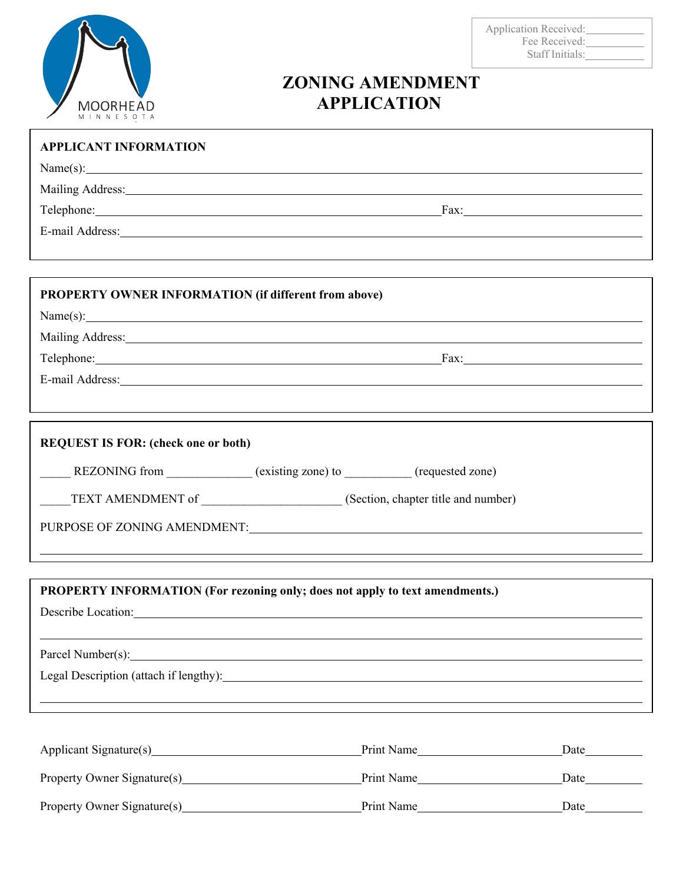

Application Received: Fee Received: Staff Initials:

## **ZONING AMENDMENT APPLICATION**

| <b>APPLICANT INFORMATION</b>                                                                                                                                                                                                         |
|--------------------------------------------------------------------------------------------------------------------------------------------------------------------------------------------------------------------------------------|
| Name(s):                                                                                                                                                                                                                             |
| Mailing Address: Mailing Address: Mailing Address: Mailing Address: Mailing Address: Mailing Address: Mailing Address: Mailing Address: Mailing Address: Mailing Address: Mailing Address: Mailing Address: Mailing Address: M       |
|                                                                                                                                                                                                                                      |
| E-mail Address: Note and Address and Address and Address and Address and Address and Address and Address and A                                                                                                                       |
|                                                                                                                                                                                                                                      |
|                                                                                                                                                                                                                                      |
| <b>PROPERTY OWNER INFORMATION (if different from above)</b>                                                                                                                                                                          |
| Name(s):                                                                                                                                                                                                                             |
| Mailing Address: 1988 and 2008 and 2008 and 2008 and 2008 and 2008 and 2008 and 2008 and 2008 and 2008 and 200                                                                                                                       |
|                                                                                                                                                                                                                                      |
|                                                                                                                                                                                                                                      |
|                                                                                                                                                                                                                                      |
|                                                                                                                                                                                                                                      |
| <b>REQUEST IS FOR: (check one or both)</b>                                                                                                                                                                                           |
| REZONING from _____________(existing zone) to _________(requested zone)                                                                                                                                                              |
| TEXT AMENDMENT of _________________________(Section, chapter title and number)                                                                                                                                                       |
| PURPOSE OF ZONING AMENDMENT: University of the set of the set of the set of the set of the set of the set of the set of the set of the set of the set of the set of the set of the set of the set of the set of the set of the       |
|                                                                                                                                                                                                                                      |
|                                                                                                                                                                                                                                      |
| PROPERTY INFORMATION (For rezoning only; does not apply to text amendments.)                                                                                                                                                         |
| Describe Location: <u>Contract of the Contract of the Contract of the Contract of the Contract of the Contract of the Contract of the Contract of the Contract of the Contract of the Contract of the Contract of the Contract o</u> |
|                                                                                                                                                                                                                                      |
| Parcel Number(s):                                                                                                                                                                                                                    |
| Legal Description (attach if lengthy):                                                                                                                                                                                               |
|                                                                                                                                                                                                                                      |
|                                                                                                                                                                                                                                      |
|                                                                                                                                                                                                                                      |

| Applicant Signature(s)      | Print Name | Date |
|-----------------------------|------------|------|
| Property Owner Signature(s) | Print Name | Date |
| Property Owner Signature(s) | Print Name | Date |